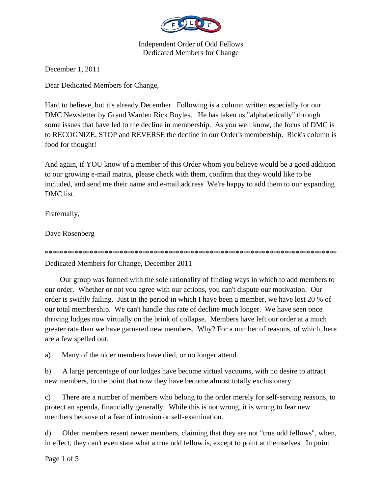

December 1, 2011

Dear Dedicated Members for Change,

Hard to believe, but it's already December. Following is a column written especially for our DMC Newsletter by Grand Warden Rick Boyles. He has taken us "alphabetically" through some issues that have led to the decline in membership. As you well know, the focus of DMC is to RECOGNIZE, STOP and REVERSE the decline in our Order's membership. Rick's column is food for thought!

And again, if YOU know of a member of this Order whom you believe would be a good addition to our growing e-mail matrix, please check with them, confirm that they would like to be included, and send me their name and e-mail address We're happy to add them to our expanding DMC list.

Fraternally,

Dave Rosenberg

\*\*\*\*\*\*\*\*\*\*\*\*\*\*\*\*\*\*\*\*\*\*\*\*\*\*\*\*\*\*\*\*\*\*\*\*\*\*\*\*\*\*\*\*\*\*\*\*\*\*\*\*\*\*\*\*\*\*\*\*\*\*\*\*\*\*\*\*\*\*\*\*\*\*\*\*\*\*

Dedicated Members for Change, December 2011

 Our group was formed with the sole rationality of finding ways in which to add members to our order. Whether or not you agree with our actions, you can't dispute our motivation. Our order is swiftly failing. Just in the period in which I have been a member, we have lost 20 % of our total membership. We can't handle this rate of decline much longer. We have seen once thriving lodges now virtually on the brink of collapse. Members have left our order at a much greater rate than we have garnered new members. Why? For a number of reasons, of which, here are a few spelled out.

a) Many of the older members have died, or no longer attend.

b) A large percentage of our lodges have become virtual vacuums, with no desire to attract new members, to the point that now they have become almost totally exclusionary.

c) There are a number of members who belong to the order merely for self-serving reasons, to protect an agenda, financially generally. While this is not wrong, it is wrong to fear new members because of a fear of intrusion or self-examination.

d) Older members resent newer members, claiming that they are not "true odd fellows", when, in effect, they can't even state what a true odd fellow is, except to point at themselves. In point

Page 1 of 5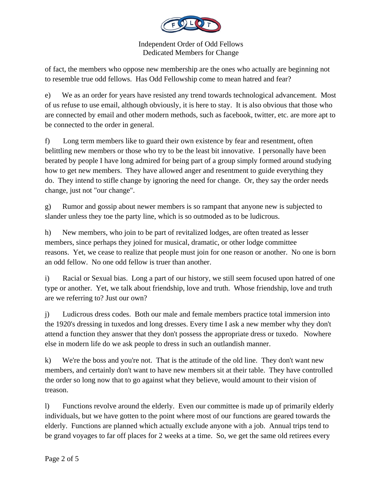

of fact, the members who oppose new membership are the ones who actually are beginning not to resemble true odd fellows. Has Odd Fellowship come to mean hatred and fear?

e) We as an order for years have resisted any trend towards technological advancement. Most of us refuse to use email, although obviously, it is here to stay. It is also obvious that those who are connected by email and other modern methods, such as facebook, twitter, etc. are more apt to be connected to the order in general.

f) Long term members like to guard their own existence by fear and resentment, often belittling new members or those who try to be the least bit innovative. I personally have been berated by people I have long admired for being part of a group simply formed around studying how to get new members. They have allowed anger and resentment to guide everything they do. They intend to stifle change by ignoring the need for change. Or, they say the order needs change, just not "our change".

g) Rumor and gossip about newer members is so rampant that anyone new is subjected to slander unless they toe the party line, which is so outmoded as to be ludicrous.

h) New members, who join to be part of revitalized lodges, are often treated as lesser members, since perhaps they joined for musical, dramatic, or other lodge committee reasons. Yet, we cease to realize that people must join for one reason or another. No one is born an odd fellow. No one odd fellow is truer than another.

i) Racial or Sexual bias. Long a part of our history, we still seem focused upon hatred of one type or another. Yet, we talk about friendship, love and truth. Whose friendship, love and truth are we referring to? Just our own?

j) Ludicrous dress codes. Both our male and female members practice total immersion into the 1920's dressing in tuxedos and long dresses. Every time I ask a new member why they don't attend a function they answer that they don't possess the appropriate dress or tuxedo. Nowhere else in modern life do we ask people to dress in such an outlandish manner.

k) We're the boss and you're not. That is the attitude of the old line. They don't want new members, and certainly don't want to have new members sit at their table. They have controlled the order so long now that to go against what they believe, would amount to their vision of treason.

l) Functions revolve around the elderly. Even our committee is made up of primarily elderly individuals, but we have gotten to the point where most of our functions are geared towards the elderly. Functions are planned which actually exclude anyone with a job. Annual trips tend to be grand voyages to far off places for 2 weeks at a time. So, we get the same old retirees every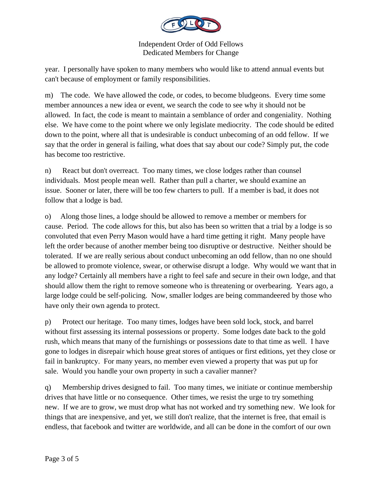

year. I personally have spoken to many members who would like to attend annual events but can't because of employment or family responsibilities.

m) The code. We have allowed the code, or codes, to become bludgeons. Every time some member announces a new idea or event, we search the code to see why it should not be allowed. In fact, the code is meant to maintain a semblance of order and congeniality. Nothing else. We have come to the point where we only legislate mediocrity. The code should be edited down to the point, where all that is undesirable is conduct unbecoming of an odd fellow. If we say that the order in general is failing, what does that say about our code? Simply put, the code has become too restrictive.

n) React but don't overreact. Too many times, we close lodges rather than counsel individuals. Most people mean well. Rather than pull a charter, we should examine an issue. Sooner or later, there will be too few charters to pull. If a member is bad, it does not follow that a lodge is bad.

o) Along those lines, a lodge should be allowed to remove a member or members for cause. Period. The code allows for this, but also has been so written that a trial by a lodge is so convoluted that even Perry Mason would have a hard time getting it right. Many people have left the order because of another member being too disruptive or destructive. Neither should be tolerated. If we are really serious about conduct unbecoming an odd fellow, than no one should be allowed to promote violence, swear, or otherwise disrupt a lodge. Why would we want that in any lodge? Certainly all members have a right to feel safe and secure in their own lodge, and that should allow them the right to remove someone who is threatening or overbearing. Years ago, a large lodge could be self-policing. Now, smaller lodges are being commandeered by those who have only their own agenda to protect.

p) Protect our heritage. Too many times, lodges have been sold lock, stock, and barrel without first assessing its internal possessions or property. Some lodges date back to the gold rush, which means that many of the furnishings or possessions date to that time as well. I have gone to lodges in disrepair which house great stores of antiques or first editions, yet they close or fail in bankruptcy. For many years, no member even viewed a property that was put up for sale. Would you handle your own property in such a cavalier manner?

q) Membership drives designed to fail. Too many times, we initiate or continue membership drives that have little or no consequence. Other times, we resist the urge to try something new. If we are to grow, we must drop what has not worked and try something new. We look for things that are inexpensive, and yet, we still don't realize, that the internet is free, that email is endless, that facebook and twitter are worldwide, and all can be done in the comfort of our own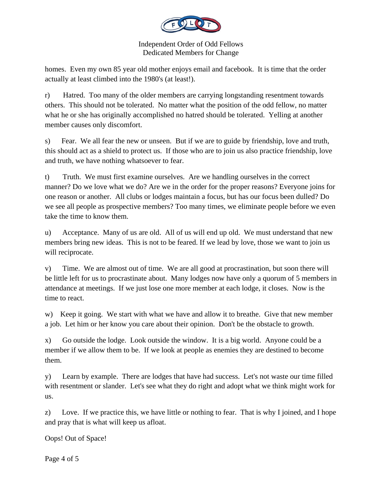

homes. Even my own 85 year old mother enjoys email and facebook. It is time that the order actually at least climbed into the 1980's (at least!).

r) Hatred. Too many of the older members are carrying longstanding resentment towards others. This should not be tolerated. No matter what the position of the odd fellow, no matter what he or she has originally accomplished no hatred should be tolerated. Yelling at another member causes only discomfort.

s) Fear. We all fear the new or unseen. But if we are to guide by friendship, love and truth, this should act as a shield to protect us. If those who are to join us also practice friendship, love and truth, we have nothing whatsoever to fear.

t) Truth. We must first examine ourselves. Are we handling ourselves in the correct manner? Do we love what we do? Are we in the order for the proper reasons? Everyone joins for one reason or another. All clubs or lodges maintain a focus, but has our focus been dulled? Do we see all people as prospective members? Too many times, we eliminate people before we even take the time to know them.

u) Acceptance. Many of us are old. All of us will end up old. We must understand that new members bring new ideas. This is not to be feared. If we lead by love, those we want to join us will reciprocate.

v) Time. We are almost out of time. We are all good at procrastination, but soon there will be little left for us to procrastinate about. Many lodges now have only a quorum of 5 members in attendance at meetings. If we just lose one more member at each lodge, it closes. Now is the time to react.

w) Keep it going. We start with what we have and allow it to breathe. Give that new member a job. Let him or her know you care about their opinion. Don't be the obstacle to growth.

x) Go outside the lodge. Look outside the window. It is a big world. Anyone could be a member if we allow them to be. If we look at people as enemies they are destined to become them.

y) Learn by example. There are lodges that have had success. Let's not waste our time filled with resentment or slander. Let's see what they do right and adopt what we think might work for us.

z) Love. If we practice this, we have little or nothing to fear. That is why I joined, and I hope and pray that is what will keep us afloat.

Oops! Out of Space!